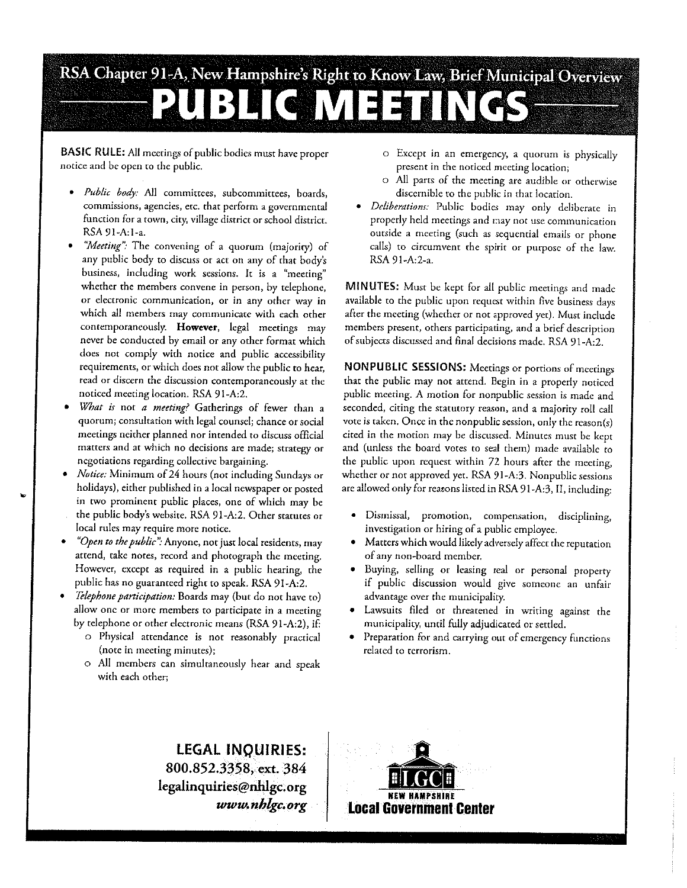## RSA Chapter 91-A, New Hampshire's Right to Know Law, Brief Municipal Overview  $|31|$  $\P(\mathbf{C} \|\mathbf{V}_i|$  =  $\exists$

BASIC RULE: All meetings of public bodies must have proper notice and be open to the public.

- Public body: All committees, subcommittees, boards, commissions, agencies, etc. that perform a governmental function for a town, city, village district or school district. RSA 91-A:1-a.
- "Meeting": The convening of a quorum (majority) of any public body to discuss or act on any of that body's business, including work sessions. It is a "meeting" whether the members convene in person, by telephone, or electronic communication, or in any other way in which all members may communicate with each other contemporaneously. However, legal meetings may never be conducted by email or any other format which does not comply with notice and public accessibility requirements, or which does not allow the public to hear, read or discern the discussion contemporaneously at the noticed meeting location. RSA 91-A:2.
- What is not a meeting? Gatherings of fewer than a quorum; consultation with legal counsel; chance or social meetings neither planned nor intended to discuss official matters and at which no decisions are made; strategy or negotiations regarding collective bargaining.
- Notice: Minimum of 24 hours (not including Sundays or holidays), either published in a local newspaper or posted in two prominent public places, one of which may be the public body's website. RSA 91-A:2. Other statutes or local rules may require more notice.
- "Open to the public": Anyone, not just local residents, may attend, take notes, record and photograph the meeting. However, except as required in a public hearing, the public has no guaranteed right to speak. RSA 91-A:2.
- Telephone participation: Boards may (but do not have to)  $\bullet$ allow one or more members to participate in a meeting by telephone or other electronic means (RSA 91-A:2), if:
	- o Physical attendance is not reasonably practical (note in meeting minutes);
	- o All members can simultaneously hear and speak with each other:
- o Except in an emergency, a quorum is physically present in the noticed meeting location;
- o All parts of the meeting are audible or otherwise discernible to the public in that location.
- · Deliberations: Public bodies may only deliberate in properly held meetings and may not use communication outside a meeting (such as sequential emails or phone calls) to circumvent the spirit or purpose of the law. RSA 91-A:2-a.

MINUTES: Must be kept for all public meetings and made available to the public upon request within five business days after the meeting (whether or not approved yet). Must include members present, others participating, and a brief description of subjects discussed and final decisions made. RSA 91-A:2.

NONPUBLIC SESSIONS: Meetings or portions of meetings that the public may not attend. Begin in a properly noticed public meeting. A motion for nonpublic session is made and seconded, citing the statutory reason, and a majority roll call vote is taken. Once in the nonpublic session, only the reason(s) cited in the motion may be discussed. Minutes must be kept and (unless the board votes to seal them) made available to the public upon request within 72 hours after the meeting, whether or not approved yet. RSA 91-A:3. Nonpublic sessions are allowed only for reasons listed in RSA 91-A:3, II, including:

- · Dismissal, promotion, compensation, disciplining, investigation or hiring of a public employee.
- Matters which would likely adversely affect the reputation  $\bullet$ of any non-board member.
- Buying, selling or leasing real or personal property if public discussion would give someone an unfair advantage over the municipality.
- · Lawsuits filed or threatened in writing against the municipality, until fully adjudicated or settled.
- Preparation for and carrying out of emergency functions related to terrorism.

**LEGAL INQUIRIES:** 800.852.3358, ext. 384 legalinquiries@nhlgc.org www.nblgc.org